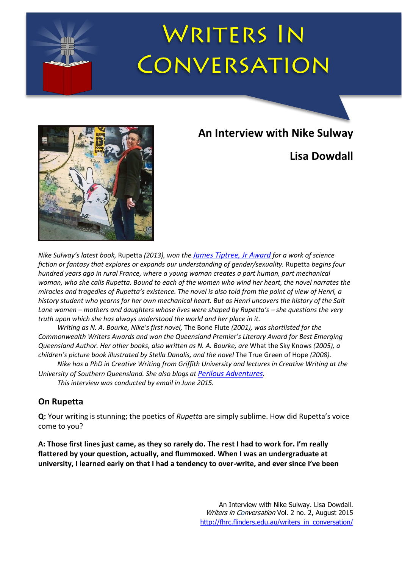

# **WRITERS IN** CONVERSATION



**An Interview with Nike Sulway**

## **Lisa Dowdall**

*Nike Sulway's latest book,* Rupetta *(2013), won the [James Tiptree, Jr Award](http://tiptree.org/) for a work of science fiction or fantasy that explores or expands our understanding of gender/sexuality.* Rupetta *begins four hundred years ago in rural France, where a young woman creates a part human, part mechanical woman, who she calls Rupetta. Bound to each of the women who wind her heart, the novel narrates the miracles and tragedies of Rupetta's existence. The novel is also told from the point of view of Henri, a history student who yearns for her own mechanical heart. But as Henri uncovers the history of the Salt Lane women – mothers and daughters whose lives were shaped by Rupetta's – she questions the very truth upon which she has always understood the world and her place in it.*

*Writing as N. A. Bourke, Nike's first novel,* The Bone Flute *(2001), was shortlisted for the Commonwealth Writers Awards and won the Queensland Premier's Literary Award for Best Emerging Queensland Author. Her other books, also written as N. A. Bourke, are* What the Sky Knows *(2005), a children's picture book illustrated by Stella Danalis, and the novel* The True Green of Hope *(2008).*

*Nike has a PhD in Creative Writing from Griffith University and lectures in Creative Writing at the University of Southern Queensland. She also blogs at [Perilous Adventures](http://www.perilousadventures.net/blog/).*

*This interview was conducted by email in June 2015.*

### **On Rupetta**

**Q:** Your writing is stunning; the poetics of *Rupetta* are simply sublime. How did Rupetta's voice come to you?

**A: Those first lines just came, as they so rarely do. The rest I had to work for. I'm really flattered by your question, actually, and flummoxed. When I was an undergraduate at university, I learned early on that I had a tendency to over-write, and ever since I've been**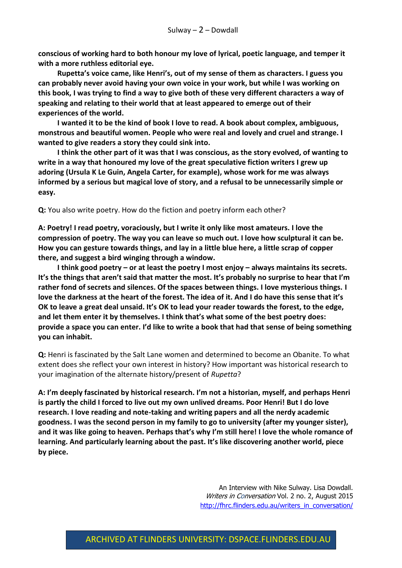**conscious of working hard to both honour my love of lyrical, poetic language, and temper it with a more ruthless editorial eye.** 

**Rupetta's voice came, like Henri's, out of my sense of them as characters. I guess you can probably never avoid having your own voice in your work, but while I was working on this book, I was trying to find a way to give both of these very different characters a way of speaking and relating to their world that at least appeared to emerge out of their experiences of the world.** 

**I wanted it to be the kind of book I love to read. A book about complex, ambiguous, monstrous and beautiful women. People who were real and lovely and cruel and strange. I wanted to give readers a story they could sink into.**

**I think the other part of it was that I was conscious, as the story evolved, of wanting to write in a way that honoured my love of the great speculative fiction writers I grew up adoring (Ursula K Le Guin, Angela Carter, for example), whose work for me was always informed by a serious but magical love of story, and a refusal to be unnecessarily simple or easy.**

**Q:** You also write poetry. How do the fiction and poetry inform each other?

**A: Poetry! I read poetry, voraciously, but I write it only like most amateurs. I love the compression of poetry. The way you can leave so much out. I love how sculptural it can be. How you can gesture towards things, and lay in a little blue here, a little scrap of copper there, and suggest a bird winging through a window.**

**I think good poetry – or at least the poetry I most enjoy – always maintains its secrets. It's the things that aren't said that matter the most. It's probably no surprise to hear that I'm rather fond of secrets and silences. Of the spaces between things. I love mysterious things. I love the darkness at the heart of the forest. The idea of it. And I do have this sense that it's OK to leave a great deal unsaid. It's OK to lead your reader towards the forest, to the edge, and let them enter it by themselves. I think that's what some of the best poetry does: provide a space you can enter. I'd like to write a book that had that sense of being something you can inhabit.** 

**Q:** Henri is fascinated by the Salt Lane women and determined to become an Obanite. To what extent does she reflect your own interest in history? How important was historical research to your imagination of the alternate history/present of *Rupetta*?

**A: I'm deeply fascinated by historical research. I'm not a historian, myself, and perhaps Henri is partly the child I forced to live out my own unlived dreams. Poor Henri! But I do love research. I love reading and note-taking and writing papers and all the nerdy academic goodness. I was the second person in my family to go to university (after my younger sister), and it was like going to heaven. Perhaps that's why I'm still here! I love the whole romance of learning. And particularly learning about the past. It's like discovering another world, piece by piece.**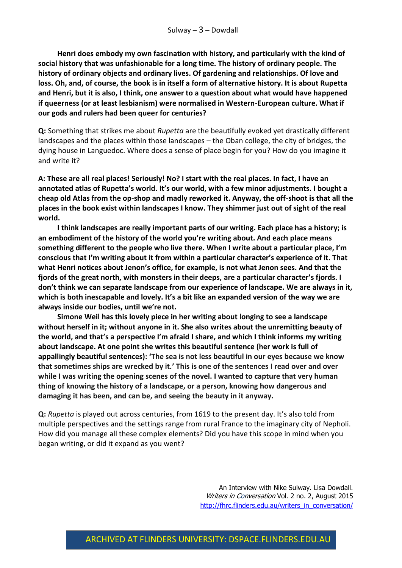**Henri does embody my own fascination with history, and particularly with the kind of social history that was unfashionable for a long time. The history of ordinary people. The history of ordinary objects and ordinary lives. Of gardening and relationships. Of love and loss. Oh, and, of course, the book is in itself a form of alternative history. It is about Rupetta and Henri, but it is also, I think, one answer to a question about what would have happened if queerness (or at least lesbianism) were normalised in Western-European culture. What if our gods and rulers had been queer for centuries?**

**Q:** Something that strikes me about *Rupetta* are the beautifully evoked yet drastically different landscapes and the places within those landscapes – the Oban college, the city of bridges, the dying house in Languedoc. Where does a sense of place begin for you? How do you imagine it and write it?

**A: These are all real places! Seriously! No? I start with the real places. In fact, I have an annotated atlas of Rupetta's world. It's our world, with a few minor adjustments. I bought a cheap old Atlas from the op-shop and madly reworked it. Anyway, the off-shoot is that all the places in the book exist within landscapes I know. They shimmer just out of sight of the real world.** 

**I think landscapes are really important parts of our writing. Each place has a history; is an embodiment of the history of the world you're writing about. And each place means something different to the people who live there. When I write about a particular place, I'm conscious that I'm writing about it from within a particular character's experience of it. That what Henri notices about Jenon's office, for example, is not what Jenon sees. And that the fjords of the great north, with monsters in their deeps, are a particular character's fjords. I don't think we can separate landscape from our experience of landscape. We are always in it, which is both inescapable and lovely. It's a bit like an expanded version of the way we are always inside our bodies, until we're not.**

**Simone Weil has this lovely piece in her writing about longing to see a landscape without herself in it; without anyone in it. She also writes about the unremitting beauty of the world, and that's a perspective I'm afraid I share, and which I think informs my writing about landscape. At one point she writes this beautiful sentence (her work is full of appallingly beautiful sentences): 'The sea is not less beautiful in our eyes because we know that sometimes ships are wrecked by it***.***' This is one of the sentences I read over and over while I was writing the opening scenes of the novel. I wanted to capture that very human thing of knowing the history of a landscape, or a person, knowing how dangerous and damaging it has been, and can be, and seeing the beauty in it anyway.**

**Q:** *Rupetta* is played out across centuries, from 1619 to the present day. It's also told from multiple perspectives and the settings range from rural France to the imaginary city of Nepholi. How did you manage all these complex elements? Did you have this scope in mind when you began writing, or did it expand as you went?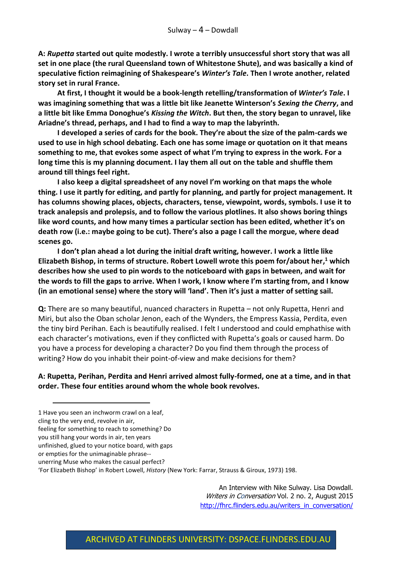**A:** *Rupetta* **started out quite modestly. I wrote a terribly unsuccessful short story that was all set in one place (the rural Queensland town of Whitestone Shute), and was basically a kind of speculative fiction reimagining of Shakespeare's** *Winter's Tale***. Then I wrote another, related story set in rural France.** 

**At first, I thought it would be a book-length retelling/transformation of** *Winter's Tale***. I was imagining something that was a little bit like Jeanette Winterson's** *Sexing the Cherry***, and a little bit like Emma Donoghue's** *Kissing the Witch***. But then, the story began to unravel, like Ariadne's thread, perhaps, and I had to find a way to map the labyrinth.** 

**I developed a series of cards for the book. They're about the size of the palm-cards we used to use in high school debating. Each one has some image or quotation on it that means something to me, that evokes some aspect of what I'm trying to express in the work. For a long time this is my planning document. I lay them all out on the table and shuffle them around till things feel right.**

**I also keep a digital spreadsheet of any novel I'm working on that maps the whole thing. I use it partly for editing, and partly for planning, and partly for project management. It has columns showing places, objects, characters, tense, viewpoint, words, symbols. I use it to track analepsis and prolepsis, and to follow the various plotlines. It also shows boring things like word counts, and how many times a particular section has been edited, whether it's on death row (i.e.: maybe going to be cut). There's also a page I call the morgue, where dead scenes go.**

**I don't plan ahead a lot during the initial draft writing, however. I work a little like Elizabeth Bishop, in terms of structure. Robert Lowell wrote this poem for/about her, <sup>1</sup> which describes how she used to pin words to the noticeboard with gaps in between, and wait for the words to fill the gaps to arrive. When I work, I know where I'm starting from, and I know (in an emotional sense) where the story will 'land'. Then it's just a matter of setting sail.**

**Q:** There are so many beautiful, nuanced characters in Rupetta – not only Rupetta, Henri and Miri, but also the Oban scholar Jenon, each of the Wynders, the Empress Kassia, Perdita, even the tiny bird Perihan. Each is beautifully realised. I felt I understood and could emphathise with each character's motivations, even if they conflicted with Rupetta's goals or caused harm. Do you have a process for developing a character? Do you find them through the process of writing? How do you inhabit their point-of-view and make decisions for them?

**A: Rupetta, Perihan, Perdita and Henri arrived almost fully-formed, one at a time, and in that order. These four entities around whom the whole book revolves.** 

- 1 Have you seen an inchworm crawl on a leaf,
- cling to the very end, revolve in air,

-

or empties for the unimaginable phrase--

feeling for something to reach to something? Do

you still hang your words in air, ten years

unfinished, glued to your notice board, with gaps

unerring Muse who makes the casual perfect?

<sup>&#</sup>x27;For Elizabeth Bishop' in Robert Lowell, *History* (New York: Farrar, Strauss & Giroux, 1973) 198.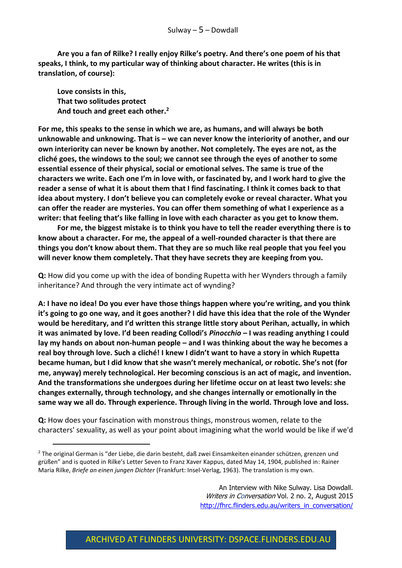**Are you a fan of Rilke? I really enjoy Rilke's poetry. And there's one poem of his that speaks, I think, to my particular way of thinking about character. He writes (this is in translation, of course):**

**Love consists in this, That two solitudes protect And touch and greet each other. 2**

-

**For me, this speaks to the sense in which we are, as humans, and will always be both unknowable and unknowing. That is – we can never know the interiority of another, and our own interiority can never be known by another. Not completely. The eyes are not, as the cliché goes, the windows to the soul; we cannot see through the eyes of another to some essential essence of their physical, social or emotional selves. The same is true of the characters we write. Each one I'm in love with, or fascinated by, and I work hard to give the reader a sense of what it is about them that I find fascinating. I think it comes back to that idea about mystery. I don't believe you can completely evoke or reveal character. What you can offer the reader are mysteries. You can offer them something of what I experience as a writer: that feeling that's like falling in love with each character as you get to know them.** 

**For me, the biggest mistake is to think you have to tell the reader everything there is to know about a character. For me, the appeal of a well-rounded character is that there are things you don't know about them. That they are so much like real people that you feel you will never know them completely. That they have secrets they are keeping from you.** 

**Q:** How did you come up with the idea of bonding Rupetta with her Wynders through a family inheritance? And through the very intimate act of wynding?

**A: I have no idea! Do you ever have those things happen where you're writing, and you think it's going to go one way, and it goes another? I did have this idea that the role of the Wynder would be hereditary, and I'd written this strange little story about Perihan, actually, in which it was animated by love. I'd been reading Collodi's** *Pinocchio* **– I was reading anything I could lay my hands on about non-human people – and I was thinking about the way he becomes a real boy through love. Such a cliché! I knew I didn't want to have a story in which Rupetta became human, but I did know that she wasn't merely mechanical, or robotic. She's not (for me, anyway) merely technological. Her becoming conscious is an act of magic, and invention. And the transformations she undergoes during her lifetime occur on at least two levels: she changes externally, through technology, and she changes internally or emotionally in the same way we all do. Through experience. Through living in the world. Through love and loss.**

**Q:** How does your fascination with monstrous things, monstrous women, relate to the characters' sexuality, as well as your point about imagining what the world would be like if we'd

<sup>2</sup> The original German is "der Liebe, die darin besteht, daß zwei Einsamkeiten einander schützen, grenzen und grüßen" and is quoted in Rilke's Letter Seven to Franz Xaver Kappus, dated May 14, 1904, published in: Rainer Maria Rilke, *Briefe an einen jungen Dichter* (Frankfurt: Insel-Verlag, 1963). The translation is my own.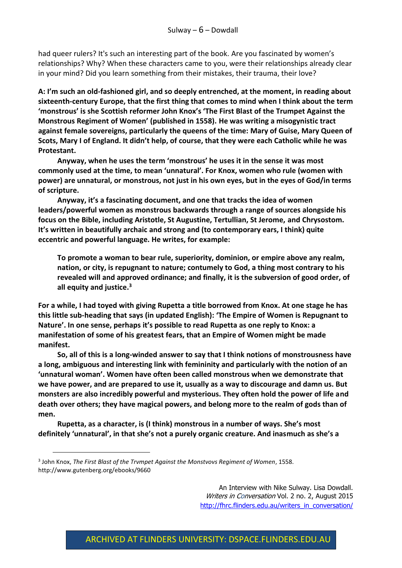had queer rulers? It's such an interesting part of the book. Are you fascinated by women's relationships? Why? When these characters came to you, were their relationships already clear in your mind? Did you learn something from their mistakes, their trauma, their love?

**A: I'm such an old-fashioned girl, and so deeply entrenched, at the moment, in reading about sixteenth-century Europe, that the first thing that comes to mind when I think about the term 'monstrous' is she Scottish reformer John Knox's 'The First Blast of the Trumpet Against the Monstrous Regiment of Women' (published in 1558). He was writing a misogynistic tract against female sovereigns, particularly the queens of the time: Mary of Guise, Mary Queen of Scots, Mary I of England. It didn't help, of course, that they were each Catholic while he was Protestant.** 

**Anyway, when he uses the term 'monstrous' he uses it in the sense it was most commonly used at the time, to mean 'unnatural'. For Knox, women who rule (women with power) are unnatural, or monstrous, not just in his own eyes, but in the eyes of God/in terms of scripture.** 

**Anyway, it's a fascinating document, and one that tracks the idea of women leaders/powerful women as monstrous backwards through a range of sources alongside his focus on the Bible, including Aristotle, St Augustine, Tertullian, St Jerome, and Chrysostom. It's written in beautifully archaic and strong and (to contemporary ears, I think) quite eccentric and powerful language. He writes, for example:** 

**To promote a woman to bear rule, superiority, dominion, or empire above any realm, nation, or city, is repugnant to nature; contumely to God, a thing most contrary to his revealed will and approved ordinance; and finally, it is the subversion of good order, of all equity and justice. 3**

**For a while, I had toyed with giving Rupetta a title borrowed from Knox. At one stage he has this little sub-heading that says (in updated English): 'The Empire of Women is Repugnant to Nature'. In one sense, perhaps it's possible to read Rupetta as one reply to Knox: a manifestation of some of his greatest fears, that an Empire of Women might be made manifest.** 

**So, all of this is a long-winded answer to say that I think notions of monstrousness have a long, ambiguous and interesting link with femininity and particularly with the notion of an 'unnatural woman'. Women have often been called monstrous when we demonstrate that we have power, and are prepared to use it, usually as a way to discourage and damn us. But monsters are also incredibly powerful and mysterious. They often hold the power of life and death over others; they have magical powers, and belong more to the realm of gods than of men.** 

**Rupetta, as a character, is (I think) monstrous in a number of ways. She's most definitely 'unnatural', in that she's not a purely organic creature. And inasmuch as she's a** 

-

<sup>3</sup> John Knox, *The First Blast of the Trvmpet Against the Monstvovs Regiment of Women*, 1558. http://www.gutenberg.org/ebooks/9660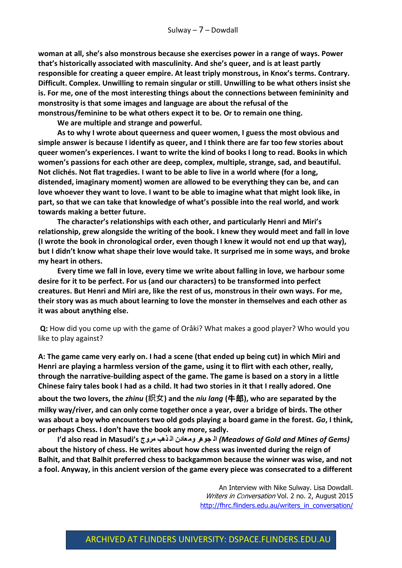**woman at all, she's also monstrous because she exercises power in a range of ways. Power that's historically associated with masculinity. And she's queer, and is at least partly responsible for creating a queer empire. At least triply monstrous, in Knox's terms. Contrary. Difficult. Complex. Unwilling to remain singular or still. Unwilling to be what others insist she is. For me, one of the most interesting things about the connections between femininity and monstrosity is that some images and language are about the refusal of the monstrous/feminine to be what others expect it to be. Or to remain one thing.**

**We are multiple and strange and powerful.** 

**As to why I wrote about queerness and queer women, I guess the most obvious and simple answer is because I identify as queer, and I think there are far too few stories about queer women's experiences. I want to write the kind of books I long to read. Books in which women's passions for each other are deep, complex, multiple, strange, sad, and beautiful. Not clichés. Not flat tragedies. I want to be able to live in a world where (for a long, distended, imaginary moment) women are allowed to be everything they can be, and can love whoever they want to love. I want to be able to imagine what that might look like, in part, so that we can take that knowledge of what's possible into the real world, and work towards making a better future.** 

**The character's relationships with each other, and particularly Henri and Miri's relationship, grew alongside the writing of the book. I knew they would meet and fall in love (I wrote the book in chronological order, even though I knew it would not end up that way), but I didn't know what shape their love would take. It surprised me in some ways, and broke my heart in others.** 

**Every time we fall in love, every time we write about falling in love, we harbour some desire for it to be perfect. For us (and our characters) to be transformed into perfect creatures. But Henri and Miri are, like the rest of us, monstrous in their own ways. For me, their story was as much about learning to love the monster in themselves and each other as it was about anything else.**

**Q:** How did you come up with the game of Oråki? What makes a good player? Who would you like to play against?

**A: The game came very early on. I had a scene (that ended up being cut) in which Miri and Henri are playing a harmless version of the game, using it to flirt with each other, really, through the narrative-building aspect of the game. The game is based on a story in a little Chinese fairy tales book I had as a child. It had two stories in it that I really adored. One about the two lovers, the** *zhinu* **(织女) and the** *niu lang* **(**牛郎**), who are separated by the milky way/river, and can only come together once a year, over a bridge of birds. The other was about a boy who encounters two old gods playing a board game in the forest.** *Go***, I think, or perhaps Chess. I don't have the book any more, sadly.** 

**I'd also read in Masudi's مروج ذهب ال عادن وم جوهر ال***) Meadows of Gold and Mines of Gems)*  **about the history of chess. He writes about how chess was invented during the reign of Balhit, and that Balhit preferred chess to backgammon because the winner was wise, and not a fool. Anyway, in this ancient version of the game every piece was consecrated to a different**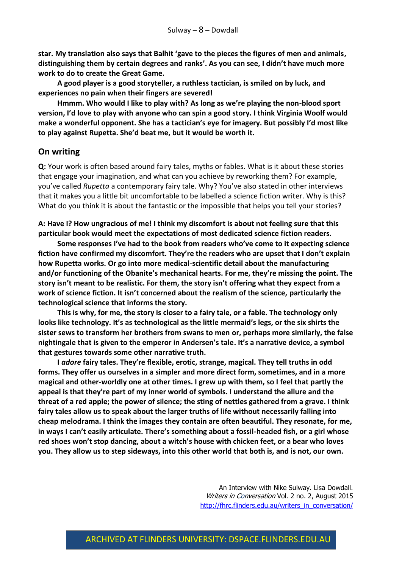**star. My translation also says that Balhit 'gave to the pieces the figures of men and animals, distinguishing them by certain degrees and ranks'. As you can see, I didn't have much more work to do to create the Great Game.**

**A good player is a good storyteller, a ruthless tactician, is smiled on by luck, and experiences no pain when their fingers are severed!**

**Hmmm. Who would I like to play with? As long as we're playing the non-blood sport version, I'd love to play with anyone who can spin a good story. I think Virginia Woolf would make a wonderful opponent. She has a tactician's eye for imagery. But possibly I'd most like to play against Rupetta. She'd beat me, but it would be worth it.** 

#### **On writing**

**Q:** Your work is often based around fairy tales, myths or fables. What is it about these stories that engage your imagination, and what can you achieve by reworking them? For example, you've called *Rupetta* a contemporary fairy tale. Why? You've also stated in other interviews that it makes you a little bit uncomfortable to be labelled a science fiction writer. Why is this? What do you think it is about the fantastic or the impossible that helps you tell your stories?

**A: Have I? How ungracious of me! I think my discomfort is about not feeling sure that this particular book would meet the expectations of most dedicated science fiction readers.** 

**Some responses I've had to the book from readers who've come to it expecting science fiction have confirmed my discomfort. They're the readers who are upset that I don't explain how Rupetta works. Or go into more medical-scientific detail about the manufacturing and/or functioning of the Obanite's mechanical hearts. For me, they're missing the point. The story isn't meant to be realistic. For them, the story isn't offering what they expect from a work of science fiction. It isn't concerned about the realism of the science, particularly the technological science that informs the story.**

**This is why, for me, the story is closer to a fairy tale, or a fable. The technology only looks like technology. It's as technological as the little mermaid's legs, or the six shirts the sister sews to transform her brothers from swans to men or, perhaps more similarly, the false nightingale that is given to the emperor in Andersen's tale. It's a narrative device, a symbol that gestures towards some other narrative truth.**

**I** *adore* **fairy tales. They're flexible, erotic, strange, magical. They tell truths in odd forms. They offer us ourselves in a simpler and more direct form, sometimes, and in a more magical and other-worldly one at other times. I grew up with them, so I feel that partly the appeal is that they're part of my inner world of symbols. I understand the allure and the threat of a red apple; the power of silence; the sting of nettles gathered from a grave. I think fairy tales allow us to speak about the larger truths of life without necessarily falling into cheap melodrama. I think the images they contain are often beautiful. They resonate, for me, in ways I can't easily articulate. There's something about a fossil-headed fish, or a girl whose red shoes won't stop dancing, about a witch's house with chicken feet, or a bear who loves you. They allow us to step sideways, into this other world that both is, and is not, our own.**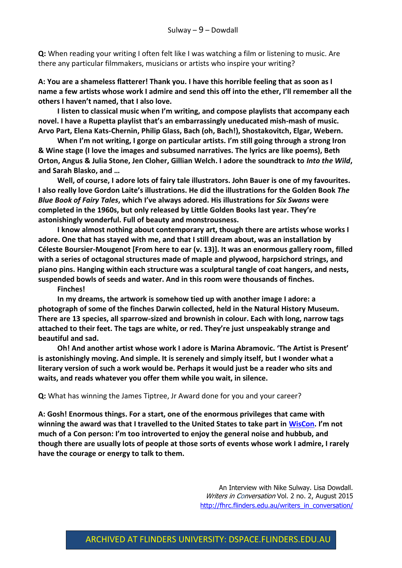**Q:** When reading your writing I often felt like I was watching a film or listening to music. Are there any particular filmmakers, musicians or artists who inspire your writing?

**A: You are a shameless flatterer! Thank you. I have this horrible feeling that as soon as I name a few artists whose work I admire and send this off into the ether, I'll remember all the others I haven't named, that I also love.**

**I listen to classical music when I'm writing, and compose playlists that accompany each novel. I have a Rupetta playlist that's an embarrassingly uneducated mish-mash of music. Arvo Part, Elena Kats-Chernin, Philip Glass, Bach (oh, Bach!), Shostakovitch, Elgar, Webern.**

**When I'm not writing, I gorge on particular artists. I'm still going through a strong Iron & Wine stage (I love the images and subsumed narratives. The lyrics are like poems), Beth Orton, Angus & Julia Stone, Jen Cloher, Gillian Welch. I adore the soundtrack to** *Into the Wild***, and Sarah Blasko, and …**

**Well, of course, I adore lots of fairy tale illustrators. John Bauer is one of my favourites. I also really love Gordon Laite's illustrations. He did the illustrations for the Golden Book** *The Blue Book of Fairy Tales***, which I've always adored. His illustrations for** *Six Swans* **were completed in the 1960s, but only released by Little Golden Books last year. They're astonishingly wonderful. Full of beauty and monstrousness.** 

**I know almost nothing about contemporary art, though there are artists whose works I adore. One that has stayed with me, and that I still dream about, was an installation by Céleste Boursier-Mougenot [From here to ear (v. 13)]. It was an enormous gallery room, filled with a series of octagonal structures made of maple and plywood, harpsichord strings, and piano pins. Hanging within each structure was a sculptural tangle of coat hangers, and nests, suspended bowls of seeds and water. And in this room were thousands of finches.** 

**Finches!**

**In my dreams, the artwork is somehow tied up with another image I adore: a photograph of some of the finches Darwin collected, held in the Natural History Museum. There are 13 species, all sparrow-sized and brownish in colour. Each with long, narrow tags attached to their feet. The tags are white, or red. They're just unspeakably strange and beautiful and sad.** 

**Oh! And another artist whose work I adore is Marina Abramovic. 'The Artist is Present' is astonishingly moving. And simple. It is serenely and simply itself, but I wonder what a literary version of such a work would be. Perhaps it would just be a reader who sits and waits, and reads whatever you offer them while you wait, in silence.**

**Q:** What has winning the James Tiptree, Jr Award done for you and your career?

**A: Gosh! Enormous things. For a start, one of the enormous privileges that came with winning the award was that I travelled to the United States to take part in [WisCon](http://www.wiscon.info/index.php). I'm not much of a Con person: I'm too introverted to enjoy the general noise and hubbub, and though there are usually lots of people at those sorts of events whose work I admire, I rarely have the courage or energy to talk to them.**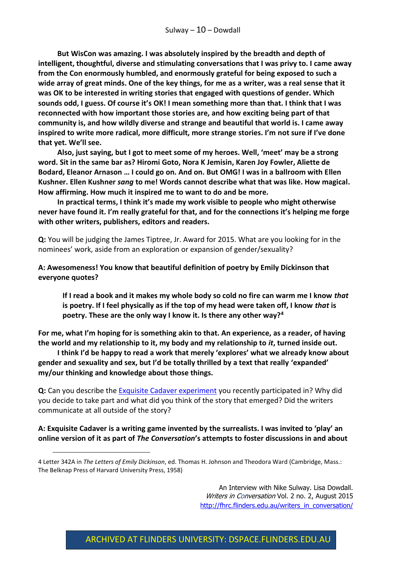**But WisCon was amazing. I was absolutely inspired by the breadth and depth of intelligent, thoughtful, diverse and stimulating conversations that I was privy to. I came away from the Con enormously humbled, and enormously grateful for being exposed to such a wide array of great minds. One of the key things, for me as a writer, was a real sense that it was OK to be interested in writing stories that engaged with questions of gender. Which sounds odd, I guess. Of course it's OK! I mean something more than that. I think that I was reconnected with how important those stories are, and how exciting being part of that community is, and how wildly diverse and strange and beautiful that world is. I came away inspired to write more radical, more difficult, more strange stories. I'm not sure if I've done that yet. We'll see.**

**Also, just saying, but I got to meet some of my heroes. Well, 'meet' may be a strong word. Sit in the same bar as? Hiromi Goto, Nora K Jemisin, Karen Joy Fowler, Aliette de Bodard, Eleanor Arnason … I could go on. And on. But OMG! I was in a ballroom with Ellen Kushner. Ellen Kushner** *sang* **to me! Words cannot describe what that was like. How magical. How affirming. How much it inspired me to want to do and be more.**

**In practical terms, I think it's made my work visible to people who might otherwise never have found it. I'm really grateful for that, and for the connections it's helping me forge with other writers, publishers, editors and readers.**

**Q:** You will be judging the James Tiptree, Jr. Award for 2015. What are you looking for in the nominees' work, aside from an exploration or expansion of gender/sexuality?

**A: Awesomeness! You know that beautiful definition of poetry by Emily Dickinson that everyone quotes?** 

**If I read a book and it makes my whole body so cold no fire can warm me I know** *that* **is poetry. If I feel physically as if the top of my head were taken off, I know** *that* **is poetry. These are the only way I know it. Is there any other way?<sup>4</sup>**

**For me, what I'm hoping for is something akin to that. An experience, as a reader, of having the world and my relationship to it, my body and my relationship to** *it***, turned inside out.**

**I think I'd be happy to read a work that merely 'explores' what we already know about gender and sexuality and sex, but I'd be totally thrilled by a text that really 'expanded' my/our thinking and knowledge about those things.**

**Q:** Can you describe the [Exquisite Cadaver experiment](https://theconversation.com/an-experiment-in-collaborative-writing-day-ten-35618) you recently participated in? Why did you decide to take part and what did you think of the story that emerged? Did the writers communicate at all outside of the story?

**A: Exquisite Cadaver is a writing game invented by the surrealists. I was invited to 'play' an online version of it as part of** *The Conversation***'s attempts to foster discussions in and about** 

-

<sup>4</sup> Letter 342A in *The Letters of Emily Dickinson*, ed. Thomas H. Johnson and Theodora Ward (Cambridge, Mass.: The Belknap Press of Harvard University Press, 1958)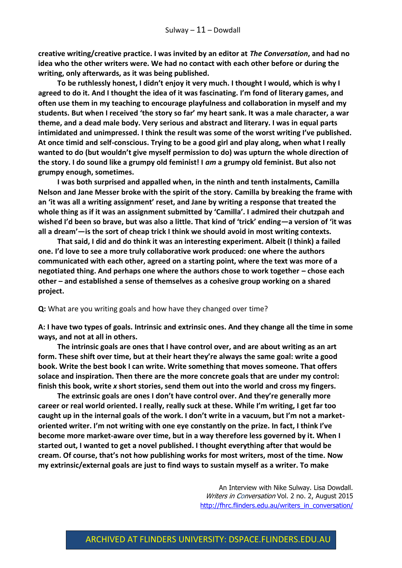**creative writing/creative practice. I was invited by an editor at** *The Conversation***, and had no idea who the other writers were. We had no contact with each other before or during the writing, only afterwards, as it was being published.**

**To be ruthlessly honest, I didn't enjoy it very much. I thought I would, which is why I agreed to do it. And I thought the idea of it was fascinating. I'm fond of literary games, and often use them in my teaching to encourage playfulness and collaboration in myself and my students. But when I received 'the story so far' my heart sank. It was a male character, a war theme, and a dead male body. Very serious and abstract and literary. I was in equal parts intimidated and unimpressed. I think the result was some of the worst writing I've published. At once timid and self-conscious. Trying to be a good girl and play along, when what I really wanted to do (but wouldn't give myself permission to do) was upturn the whole direction of the story. I do sound like a grumpy old feminist! I** *am* **a grumpy old feminist. But also not grumpy enough, sometimes.**

**I was both surprised and appalled when, in the ninth and tenth instalments, Camilla Nelson and Jane Messer broke with the spirit of the story. Camilla by breaking the frame with an 'it was all a writing assignment' reset, and Jane by writing a response that treated the whole thing as if it was an assignment submitted by 'Camilla'. I admired their chutzpah and wished I'd been so brave, but was also a little. That kind of 'trick' ending—a version of 'it was all a dream'—is the sort of cheap trick I think we should avoid in most writing contexts.**

**That said, I did and do think it was an interesting experiment. Albeit (I think) a failed one. I'd love to see a more truly collaborative work produced: one where the authors communicated with each other, agreed on a starting point, where the text was more of a negotiated thing. And perhaps one where the authors chose to work together – chose each other – and established a sense of themselves as a cohesive group working on a shared project.** 

**Q:** What are you writing goals and how have they changed over time?

**A: I have two types of goals. Intrinsic and extrinsic ones. And they change all the time in some ways, and not at all in others.**

**The intrinsic goals are ones that I have control over, and are about writing as an art form. These shift over time, but at their heart they're always the same goal: write a good book. Write the best book I can write. Write something that moves someone. That offers solace and inspiration. Then there are the more concrete goals that are under my control: finish this book, write** *x* **short stories, send them out into the world and cross my fingers.**

**The extrinsic goals are ones I don't have control over. And they're generally more career or real world oriented. I really, really suck at these. While I'm writing, I get far too caught up in the internal goals of the work. I don't write in a vacuum, but I'm not a marketoriented writer. I'm not writing with one eye constantly on the prize. In fact, I think I've become more market-aware over time, but in a way therefore less governed by it. When I started out, I wanted to get a novel published. I thought everything after that would be cream. Of course, that's not how publishing works for most writers, most of the time. Now my extrinsic/external goals are just to find ways to sustain myself as a writer. To make**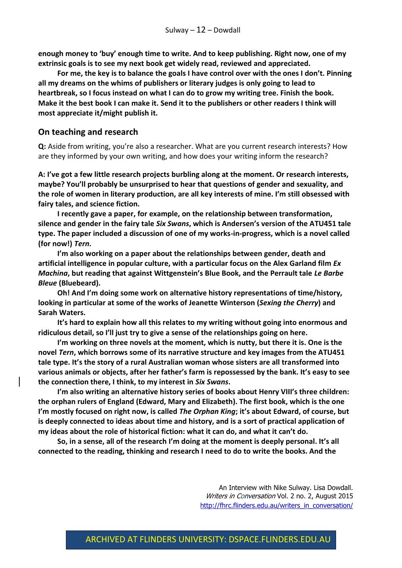**enough money to 'buy' enough time to write. And to keep publishing. Right now, one of my extrinsic goals is to see my next book get widely read, reviewed and appreciated.** 

**For me, the key is to balance the goals I have control over with the ones I don't. Pinning all my dreams on the whims of publishers or literary judges is only going to lead to heartbreak, so I focus instead on what I can do to grow my writing tree. Finish the book. Make it the best book I can make it. Send it to the publishers or other readers I think will most appreciate it/might publish it.**

#### **On teaching and research**

**Q:** Aside from writing, you're also a researcher. What are you current research interests? How are they informed by your own writing, and how does your writing inform the research?

**A: I've got a few little research projects burbling along at the moment. Or research interests, maybe? You'll probably be unsurprised to hear that questions of gender and sexuality, and the role of women in literary production, are all key interests of mine. I'm still obsessed with fairy tales, and science fiction.**

**I recently gave a paper, for example, on the relationship between transformation, silence and gender in the fairy tale** *Six Swans***, which is Andersen's version of the ATU451 tale type. The paper included a discussion of one of my works-in-progress, which is a novel called (for now!)** *Tern***.**

**I'm also working on a paper about the relationships between gender, death and artificial intelligence in popular culture, with a particular focus on the Alex Garland film** *Ex Machina***, but reading that against Wittgenstein's Blue Book, and the Perrault tale** *Le Barbe Bleue* **(Bluebeard).**

**Oh! And I'm doing some work on alternative history representations of time/history, looking in particular at some of the works of Jeanette Winterson (***Sexing the Cherry***) and Sarah Waters.**

**It's hard to explain how all this relates to my writing without going into enormous and ridiculous detail, so I'll just try to give a sense of the relationships going on here.**

**I'm working on three novels at the moment, which is nutty, but there it is. One is the novel** *Tern***, which borrows some of its narrative structure and key images from the ATU451 tale type. It's the story of a rural Australian woman whose sisters are all transformed into various animals or objects, after her father's farm is repossessed by the bank. It's easy to see the connection there, I think, to my interest in** *Six Swans***.** 

**I'm also writing an alternative history series of books about Henry VIII's three children: the orphan rulers of England (Edward, Mary and Elizabeth). The first book, which is the one I'm mostly focused on right now, is called** *The Orphan King***; it's about Edward, of course, but is deeply connected to ideas about time and history, and is a sort of practical application of my ideas about the role of historical fiction: what it can do, and what it can't do.**

**So, in a sense, all of the research I'm doing at the moment is deeply personal. It's all connected to the reading, thinking and research I need to do to write the books. And the**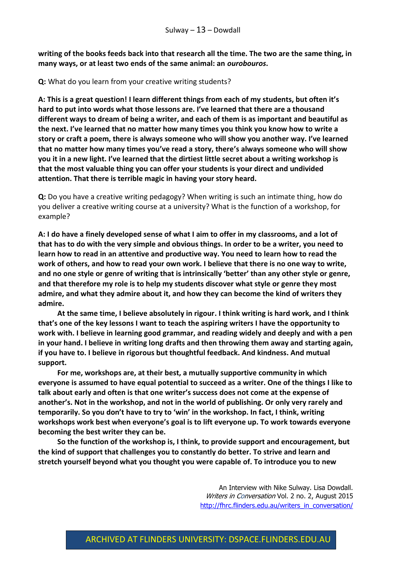**writing of the books feeds back into that research all the time. The two are the same thing, in many ways, or at least two ends of the same animal: an** *ourobouros***.**

**Q:** What do you learn from your creative writing students?

**A: This is a great question! I learn different things from each of my students, but often it's hard to put into words what those lessons are. I've learned that there are a thousand different ways to dream of being a writer, and each of them is as important and beautiful as the next. I've learned that no matter how many times you think you know how to write a story or craft a poem, there is always someone who will show you another way. I've learned that no matter how many times you've read a story, there's always someone who will show you it in a new light. I've learned that the dirtiest little secret about a writing workshop is that the most valuable thing you can offer your students is your direct and undivided attention. That there is terrible magic in having your story heard.** 

**Q:** Do you have a creative writing pedagogy? When writing is such an intimate thing, how do you deliver a creative writing course at a university? What is the function of a workshop, for example?

**A: I do have a finely developed sense of what I aim to offer in my classrooms, and a lot of that has to do with the very simple and obvious things. In order to be a writer, you need to learn how to read in an attentive and productive way. You need to learn how to read the work of others, and how to read your own work. I believe that there is no one way to write, and no one style or genre of writing that is intrinsically 'better' than any other style or genre, and that therefore my role is to help my students discover what style or genre they most admire, and what they admire about it, and how they can become the kind of writers they admire.**

**At the same time, I believe absolutely in rigour. I think writing is hard work, and I think that's one of the key lessons I want to teach the aspiring writers I have the opportunity to work with. I believe in learning good grammar, and reading widely and deeply and with a pen in your hand. I believe in writing long drafts and then throwing them away and starting again, if you have to. I believe in rigorous but thoughtful feedback. And kindness. And mutual support.**

**For me, workshops are, at their best, a mutually supportive community in which everyone is assumed to have equal potential to succeed as a writer. One of the things I like to talk about early and often is that one writer's success does not come at the expense of another's. Not in the workshop, and not in the world of publishing. Or only very rarely and temporarily. So you don't have to try to 'win' in the workshop. In fact, I think, writing workshops work best when everyone's goal is to lift everyone up. To work towards everyone becoming the best writer they can be.**

**So the function of the workshop is, I think, to provide support and encouragement, but the kind of support that challenges you to constantly do better. To strive and learn and stretch yourself beyond what you thought you were capable of. To introduce you to new**